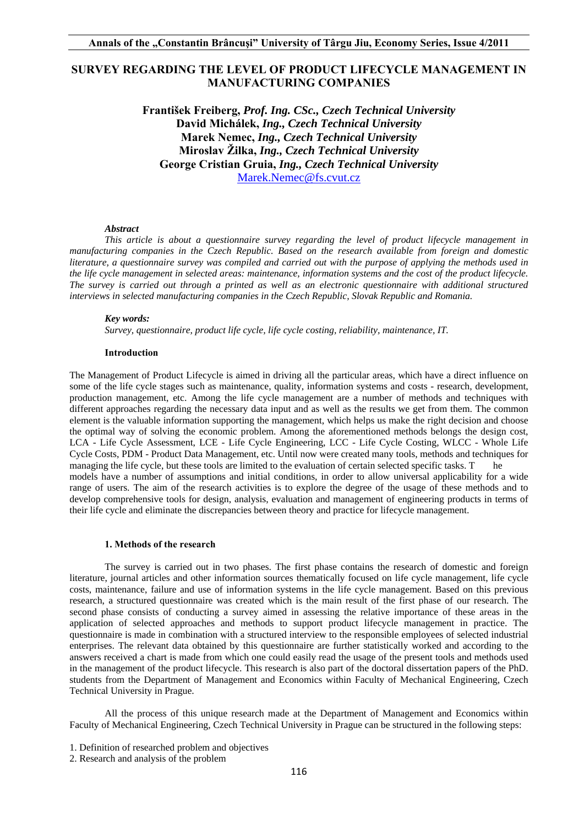# **SURVEY REGARDING THE LEVEL OF PRODUCT LIFECYCLE MANAGEMENT IN MANUFACTURING COMPANIES**

**František Freiberg,** *Prof. Ing. CSc., Czech Technical University*  **David Michálek,** *Ing., Czech Technical University* **Marek Nemec,** *Ing., Czech Technical University* **Miroslav Žilka,** *Ing., Czech Technical University* **George Cristian Gruia,** *Ing., Czech Technical University*  Marek.Nemec@fs.cvut.cz

#### *Abstract*

*This article is about a questionnaire survey regarding the level of product lifecycle management in manufacturing companies in the Czech Republic. Based on the research available from foreign and domestic literature, a questionnaire survey was compiled and carried out with the purpose of applying the methods used in the life cycle management in selected areas: maintenance, information systems and the cost of the product lifecycle. The survey is carried out through a printed as well as an electronic questionnaire with additional structured interviews in selected manufacturing companies in the Czech Republic, Slovak Republic and Romania.* 

#### *Key words:*

*Survey, questionnaire, product life cycle, life cycle costing, reliability, maintenance, IT.* 

#### **Introduction**

The Management of Product Lifecycle is aimed in driving all the particular areas, which have a direct influence on some of the life cycle stages such as maintenance, quality, information systems and costs - research, development, production management, etc. Among the life cycle management are a number of methods and techniques with different approaches regarding the necessary data input and as well as the results we get from them. The common element is the valuable information supporting the management, which helps us make the right decision and choose the optimal way of solving the economic problem. Among the aforementioned methods belongs the design cost, LCA - Life Cycle Assessment, LCE - Life Cycle Engineering, LCC - Life Cycle Costing, WLCC - Whole Life Cycle Costs, PDM - Product Data Management, etc. Until now were created many tools, methods and techniques for managing the life cycle, but these tools are limited to the evaluation of certain selected specific tasks. T he models have a number of assumptions and initial conditions, in order to allow universal applicability for a wide range of users. The aim of the research activities is to explore the degree of the usage of these methods and to develop comprehensive tools for design, analysis, evaluation and management of engineering products in terms of their life cycle and eliminate the discrepancies between theory and practice for lifecycle management.

#### **1. Methods of the research**

The survey is carried out in two phases. The first phase contains the research of domestic and foreign literature, journal articles and other information sources thematically focused on life cycle management, life cycle costs, maintenance, failure and use of information systems in the life cycle management. Based on this previous research, a structured questionnaire was created which is the main result of the first phase of our research. The second phase consists of conducting a survey aimed in assessing the relative importance of these areas in the application of selected approaches and methods to support product lifecycle management in practice. The questionnaire is made in combination with a structured interview to the responsible employees of selected industrial enterprises. The relevant data obtained by this questionnaire are further statistically worked and according to the answers received a chart is made from which one could easily read the usage of the present tools and methods used in the management of the product lifecycle. This research is also part of the doctoral dissertation papers of the PhD. students from the Department of Management and Economics within Faculty of Mechanical Engineering, Czech Technical University in Prague.

All the process of this unique research made at the Department of Management and Economics within Faculty of Mechanical Engineering, Czech Technical University in Prague can be structured in the following steps:

<sup>1.</sup> Definition of researched problem and objectives

<sup>2.</sup> Research and analysis of the problem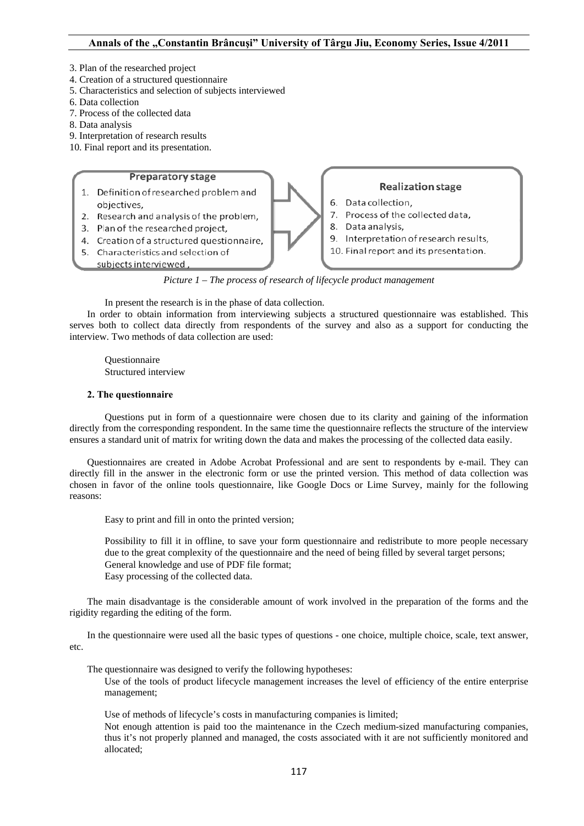- 3. Plan of the researched project
- 4. Creation of a structured questionnaire
- 5. Characteristics and selection of subjects interviewed
- 6. Data collection
- 7. Process of the collected data
- 8. Data analysis
- 9. Interpretation of research results
- 10. Final report and its presentation.

# **Preparatory stage** 1. Definition of researched problem and

- obiectives.
- 2. Research and analysis of the problem,
- 3. Plan of the researched project,
- 4. Creation of a structured questionnaire.
- 5. Characteristics and selection of
	- subjects interviewed,

*Picture 1 – The process of research of lifecycle product management* 

**Realization stage** 

7. Process of the collected data,

9. Interpretation of research results,

10. Final report and its presentation.

6. Data collection,

8. Data analysis,

In present the research is in the phase of data collection.

In order to obtain information from interviewing subjects a structured questionnaire was established. This serves both to collect data directly from respondents of the survey and also as a support for conducting the interview. Two methods of data collection are used:

 Questionnaire Structured interview

# **2. The questionnaire**

Questions put in form of a questionnaire were chosen due to its clarity and gaining of the information directly from the corresponding respondent. In the same time the questionnaire reflects the structure of the interview ensures a standard unit of matrix for writing down the data and makes the processing of the collected data easily.

Questionnaires are created in Adobe Acrobat Professional and are sent to respondents by e-mail. They can directly fill in the answer in the electronic form or use the printed version. This method of data collection was chosen in favor of the online tools questionnaire, like Google Docs or Lime Survey, mainly for the following reasons:

Easy to print and fill in onto the printed version;

 Possibility to fill it in offline, to save your form questionnaire and redistribute to more people necessary due to the great complexity of the questionnaire and the need of being filled by several target persons; General knowledge and use of PDF file format; Easy processing of the collected data.

The main disadvantage is the considerable amount of work involved in the preparation of the forms and the rigidity regarding the editing of the form.

In the questionnaire were used all the basic types of questions - one choice, multiple choice, scale, text answer, etc.

The questionnaire was designed to verify the following hypotheses:

 Use of the tools of product lifecycle management increases the level of efficiency of the entire enterprise management;

Use of methods of lifecycle's costs in manufacturing companies is limited;

 Not enough attention is paid too the maintenance in the Czech medium-sized manufacturing companies, thus it's not properly planned and managed, the costs associated with it are not sufficiently monitored and allocated;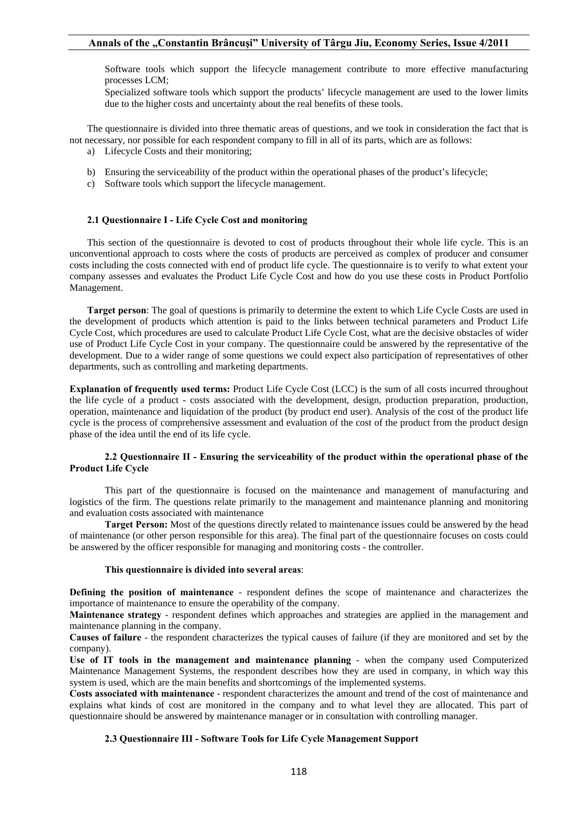# **Annals of the "Constantin Brâncuşi" University of Târgu Jiu, Economy Series, Issue 4/2011**

 Software tools which support the lifecycle management contribute to more effective manufacturing processes LCM;

 Specialized software tools which support the products' lifecycle management are used to the lower limits due to the higher costs and uncertainty about the real benefits of these tools.

The questionnaire is divided into three thematic areas of questions, and we took in consideration the fact that is not necessary, nor possible for each respondent company to fill in all of its parts, which are as follows:

- a) Lifecycle Costs and their monitoring;
- b) Ensuring the serviceability of the product within the operational phases of the product's lifecycle;
- c) Software tools which support the lifecycle management.

#### **2.1 Questionnaire I - Life Cycle Cost and monitoring**

This section of the questionnaire is devoted to cost of products throughout their whole life cycle. This is an unconventional approach to costs where the costs of products are perceived as complex of producer and consumer costs including the costs connected with end of product life cycle. The questionnaire is to verify to what extent your company assesses and evaluates the Product Life Cycle Cost and how do you use these costs in Product Portfolio Management.

**Target person**: The goal of questions is primarily to determine the extent to which Life Cycle Costs are used in the development of products which attention is paid to the links between technical parameters and Product Life Cycle Cost, which procedures are used to calculate Product Life Cycle Cost, what are the decisive obstacles of wider use of Product Life Cycle Cost in your company. The questionnaire could be answered by the representative of the development. Due to a wider range of some questions we could expect also participation of representatives of other departments, such as controlling and marketing departments.

**Explanation of frequently used terms:** Product Life Cycle Cost (LCC) is the sum of all costs incurred throughout the life cycle of a product - costs associated with the development, design, production preparation, production, operation, maintenance and liquidation of the product (by product end user). Analysis of the cost of the product life cycle is the process of comprehensive assessment and evaluation of the cost of the product from the product design phase of the idea until the end of its life cycle.

### **2.2 Questionnaire II - Ensuring the serviceability of the product within the operational phase of the Product Life Cycle**

This part of the questionnaire is focused on the maintenance and management of manufacturing and logistics of the firm. The questions relate primarily to the management and maintenance planning and monitoring and evaluation costs associated with maintenance

**Target Person:** Most of the questions directly related to maintenance issues could be answered by the head of maintenance (or other person responsible for this area). The final part of the questionnaire focuses on costs could be answered by the officer responsible for managing and monitoring costs - the controller.

#### **This questionnaire is divided into several areas**:

**Defining the position of maintenance** - respondent defines the scope of maintenance and characterizes the importance of maintenance to ensure the operability of the company.

**Maintenance strategy** - respondent defines which approaches and strategies are applied in the management and maintenance planning in the company.

**Causes of failure** - the respondent characterizes the typical causes of failure (if they are monitored and set by the company).

**Use of IT tools in the management and maintenance planning** - when the company used Computerized Maintenance Management Systems, the respondent describes how they are used in company, in which way this system is used, which are the main benefits and shortcomings of the implemented systems.

**Costs associated with maintenance** - respondent characterizes the amount and trend of the cost of maintenance and explains what kinds of cost are monitored in the company and to what level they are allocated. This part of questionnaire should be answered by maintenance manager or in consultation with controlling manager.

## **2.3 Questionnaire III - Software Tools for Life Cycle Management Support**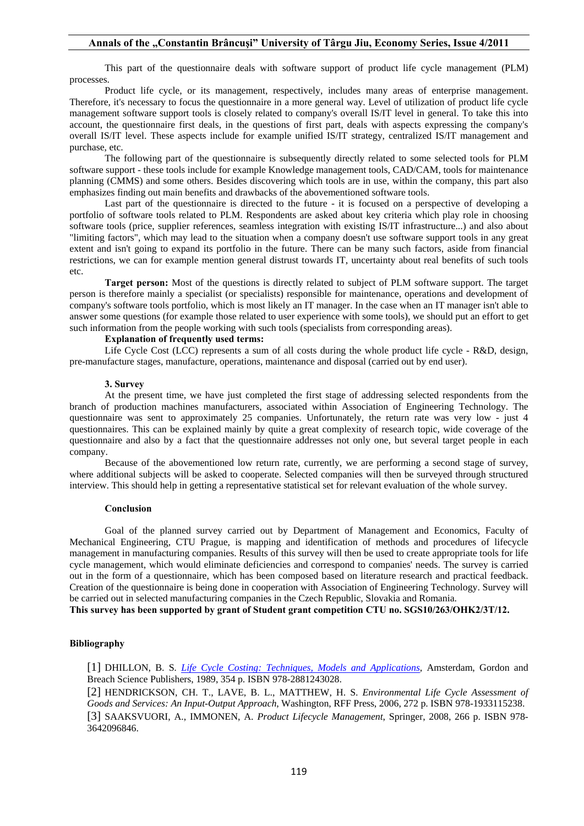# **Annals of the "Constantin Brâncuşi" University of Târgu Jiu, Economy Series, Issue 4/2011**

This part of the questionnaire deals with software support of product life cycle management (PLM) processes.

Product life cycle, or its management, respectively, includes many areas of enterprise management. Therefore, it's necessary to focus the questionnaire in a more general way. Level of utilization of product life cycle management software support tools is closely related to company's overall IS/IT level in general. To take this into account, the questionnaire first deals, in the questions of first part, deals with aspects expressing the company's overall IS/IT level. These aspects include for example unified IS/IT strategy, centralized IS/IT management and purchase, etc.

The following part of the questionnaire is subsequently directly related to some selected tools for PLM software support - these tools include for example Knowledge management tools, CAD/CAM, tools for maintenance planning (CMMS) and some others. Besides discovering which tools are in use, within the company, this part also emphasizes finding out main benefits and drawbacks of the abovementioned software tools.

Last part of the questionnaire is directed to the future - it is focused on a perspective of developing a portfolio of software tools related to PLM. Respondents are asked about key criteria which play role in choosing software tools (price, supplier references, seamless integration with existing IS/IT infrastructure...) and also about "limiting factors", which may lead to the situation when a company doesn't use software support tools in any great extent and isn't going to expand its portfolio in the future. There can be many such factors, aside from financial restrictions, we can for example mention general distrust towards IT, uncertainty about real benefits of such tools etc.

**Target person:** Most of the questions is directly related to subject of PLM software support. The target person is therefore mainly a specialist (or specialists) responsible for maintenance, operations and development of company's software tools portfolio, which is most likely an IT manager. In the case when an IT manager isn't able to answer some questions (for example those related to user experience with some tools), we should put an effort to get such information from the people working with such tools (specialists from corresponding areas).

# **Explanation of frequently used terms:**

Life Cycle Cost (LCC) represents a sum of all costs during the whole product life cycle - R&D, design, pre-manufacture stages, manufacture, operations, maintenance and disposal (carried out by end user).

#### **3. Survey**

At the present time, we have just completed the first stage of addressing selected respondents from the branch of production machines manufacturers, associated within Association of Engineering Technology. The questionnaire was sent to approximately 25 companies. Unfortunately, the return rate was very low - just 4 questionnaires. This can be explained mainly by quite a great complexity of research topic, wide coverage of the questionnaire and also by a fact that the questionnaire addresses not only one, but several target people in each company.

Because of the abovementioned low return rate, currently, we are performing a second stage of survey, where additional subjects will be asked to cooperate. Selected companies will then be surveyed through structured interview. This should help in getting a representative statistical set for relevant evaluation of the whole survey.

#### **Conclusion**

Goal of the planned survey carried out by Department of Management and Economics, Faculty of Mechanical Engineering, CTU Prague, is mapping and identification of methods and procedures of lifecycle management in manufacturing companies. Results of this survey will then be used to create appropriate tools for life cycle management, which would eliminate deficiencies and correspond to companies' needs. The survey is carried out in the form of a questionnaire, which has been composed based on literature research and practical feedback. Creation of the questionnaire is being done in cooperation with Association of Engineering Technology. Survey will be carried out in selected manufacturing companies in the Czech Republic, Slovakia and Romania.

**This survey has been supported by grant of Student grant competition CTU no. SGS10/263/OHK2/3T/12.** 

# **Bibliography**

[1] DHILLON, B. S*. Life Cycle Costing: Techniques, Models and Applications*, Amsterdam, Gordon and Breach Science Publishers, 1989, 354 p. ISBN 978-2881243028.

[2] HENDRICKSON, CH. T., LAVE, B. L., MATTHEW, H. S. *Environmental Life Cycle Assessment of Goods and Services: An Input-Output Approach*, Washington, RFF Press, 2006, 272 p. ISBN 978-1933115238. [3] SAAKSVUORI, A., IMMONEN, A. *Product Lifecycle Management*, Springer, 2008, 266 p. ISBN 978- 3642096846.